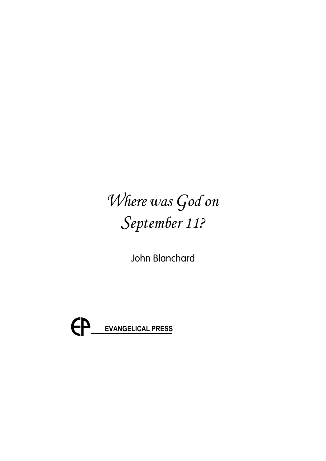John Blanchard

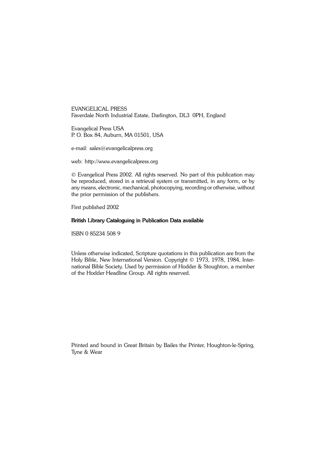EVANGELICAL PRESS Faverdale North Industrial Estate, Darlington, DL3 0PH, England

Evangelical Press USA P. O. Box 84, Auburn, MA 01501, USA

e-mail: sales@evangelicalpress.org

web: http://www.evangelicalpress.org

© Evangelical Press 2002. All rights reserved. No part of this publication may be reproduced, stored in a retrieval system or transmitted, in any form, or by any means, electronic, mechanical, photocopying, recording or otherwise, without the prior permission of the publishers.

First published 2002

#### British Library Cataloguing in Publication Data available

ISBN 0 85234 508 9

Unless otherwise indicated, Scripture quotations in this publication are from the Holy Bible, New International Version. Copyright © 1973, 1978, 1984, International Bible Society. Used by permission of Hodder & Stoughton, a member of the Hodder Headline Group. All rights reserved.

Printed and bound in Great Britain by Bailes the Printer, Houghton-le-Spring, Tyne & Wear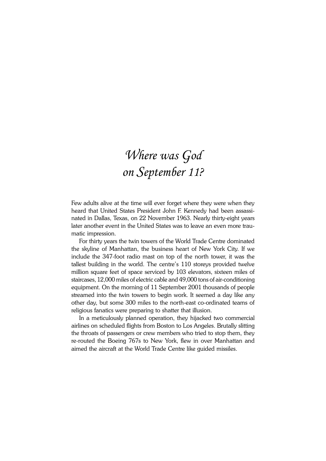Few adults alive at the time will ever forget where they were when they heard that United States President John F. Kennedy had been assassinated in Dallas, Texas, on 22 November 1963. Nearly thirty-eight years later another event in the United States was to leave an even more traumatic impression.

 For thirty years the twin towers of the World Trade Centre dominated the skyline of Manhattan, the business heart of New York City. If we include the 347-foot radio mast on top of the north tower, it was the tallest building in the world. The centre's 110 storeys provided twelve million square feet of space serviced by 103 elevators, sixteen miles of staircases, 12,000 miles of electric cable and 49,000 tons of air-conditioning equipment. On the morning of 11 September 2001 thousands of people streamed into the twin towers to begin work. It seemed a day like any other day, but some 300 miles to the north-east co-ordinated teams of religious fanatics were preparing to shatter that illusion.

In a meticulously planned operation, they hijacked two commercial airlines on scheduled flights from Boston to Los Angeles. Brutally slitting the throats of passengers or crew members who tried to stop them, they re-routed the Boeing 767s to New York, flew in over Manhattan and aimed the aircraft at the World Trade Centre like guided missiles.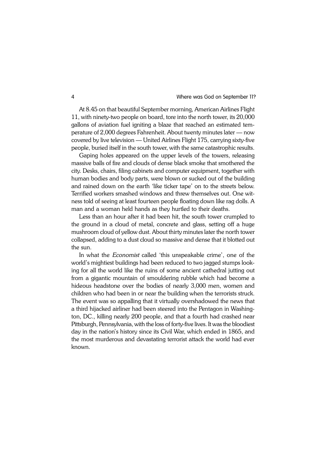At 8.45 on that beautiful September morning, American Airlines Flight 11, with ninety-two people on board, tore into the north tower, its 20,000 gallons of aviation fuel igniting a blaze that reached an estimated temperature of 2,000 degrees Fahrenheit. About twenty minutes later — now covered by live television — United Airlines Flight 175, carrying sixty-five people, buried itself in the south tower, with the same catastrophic results.

 Gaping holes appeared on the upper levels of the towers, releasing massive balls of fire and clouds of dense black smoke that smothered the city. Desks, chairs, filing cabinets and computer equipment, together with human bodies and body parts, were blown or sucked out of the building and rained down on the earth 'like ticker tape' on to the streets below. Terrified workers smashed windows and threw themselves out. One witness told of seeing at least fourteen people floating down like rag dolls. A man and a woman held hands as they hurtled to their deaths.

 Less than an hour after it had been hit, the south tower crumpled to the ground in a cloud of metal, concrete and glass, setting off a huge mushroom cloud of yellow dust. About thirty minutes later the north tower collapsed, adding to a dust cloud so massive and dense that it blotted out the sun.

In what the *Economist* called 'this unspeakable crime', one of the world's mightiest buildings had been reduced to two jagged stumps looking for all the world like the ruins of some ancient cathedral jutting out from a gigantic mountain of smouldering rubble which had become a hideous headstone over the bodies of nearly 3,000 men, women and children who had been in or near the building when the terrorists struck. The event was so appalling that it virtually overshadowed the news that a third hijacked airliner had been steered into the Pentagon in Washington, DC., killing nearly 200 people, and that a fourth had crashed near Pittsburgh, Pennsylvania, with the loss of forty-five lives. It was the bloodiest day in the nation's history since its Civil War, which ended in 1865, and the most murderous and devastating terrorist attack the world had ever known.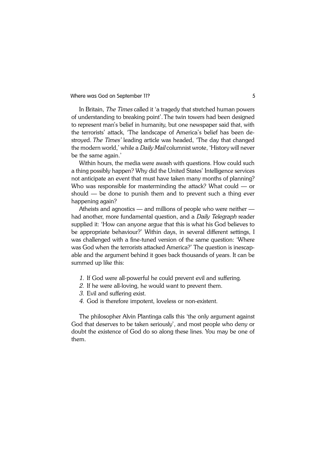In Britain, The Times called it 'a tragedy that stretched human powers of understanding to breaking point'.The twin towers had been designed to represent man's belief in humanity, but one newspaper said that, with the terrorists' attack, 'The landscape of America's belief has been destroyed. The Times' leading article was headed, 'The day that changed the modern world,' while a Daily Mail columnist wrote, 'History will never be the same again.'

 Within hours, the media were awash with questions. How could such a thing possibly happen? Why did the United States' Intelligence services not anticipate an event that must have taken many months of planning? Who was responsible for masterminding the attack? What could — or should — be done to punish them and to prevent such a thing ever happening again?

Atheists and agnostics — and millions of people who were neither had another, more fundamental question, and a Daily Telegraph reader supplied it: 'How can anyone argue that this is what his God believes to be appropriate behaviour?' Within days, in several different settings, I was challenged with a fine-tuned version of the same question: 'Where was God when the terrorists attacked America?' The question is inescapable and the argument behind it goes back thousands of years. It can be summed up like this:

- 1. If God were all-powerful he could prevent evil and suffering.
- 2. If he were all-loving, he would want to prevent them.
- 3. Evil and suffering exist.
- 4. God is therefore impotent, loveless or non-existent.

The philosopher Alvin Plantinga calls this 'the only argument against God that deserves to be taken seriously', and most people who deny or doubt the existence of God do so along these lines. You may be one of them.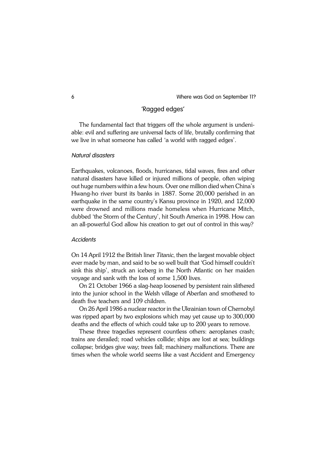### 'Ragged edges'

The fundamental fact that triggers off the whole argument is undeniable: evil and suffering are universal facts of life, brutally confirming that we live in what someone has called 'a world with ragged edges'.

#### Natural disasters

Earthquakes, volcanoes, floods, hurricanes, tidal waves, fires and other natural disasters have killed or injured millions of people, often wiping out huge numbers within a few hours. Over one million died when China's Hwang-ho river burst its banks in 1887. Some 20,000 perished in an earthquake in the same country's Kansu province in 1920, and 12,000 were drowned and millions made homeless when Hurricane Mitch, dubbed 'the Storm of the Century', hit South America in 1998. How can an all-powerful God allow his creation to get out of control in this way?

#### **Accidents**

On 14 April 1912 the British liner Titanic, then the largest movable object ever made by man, and said to be so well built that 'God himself couldn't sink this ship', struck an iceberg in the North Atlantic on her maiden voyage and sank with the loss of some 1,500 lives.

On 21 October 1966 a slag-heap loosened by persistent rain slithered into the junior school in the Welsh village of Aberfan and smothered to death five teachers and 109 children.

On 26 April 1986 a nuclear reactor in the Ukrainian town of Chernobyl was ripped apart by two explosions which may yet cause up to 300,000 deaths and the effects of which could take up to 200 years to remove.

These three tragedies represent countless others: aeroplanes crash; trains are derailed; road vehicles collide; ships are lost at sea; buildings collapse; bridges give way; trees fall; machinery malfunctions. There are times when the whole world seems like a vast Accident and Emergency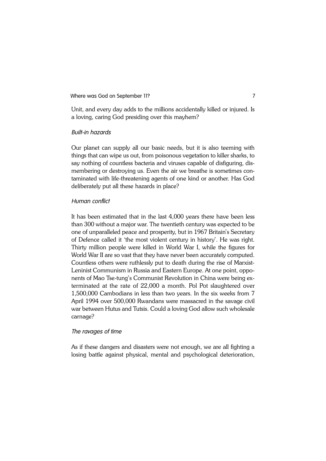#### Where was God on September 11? The matrix of the UV of the VI of the VI of the VI of the VI of the VI of the V

Unit, and every day adds to the millions accidentally killed or injured. Is a loving, caring God presiding over this mayhem?

### Built-in hazards

Our planet can supply all our basic needs, but it is also teeming with things that can wipe us out, from poisonous vegetation to killer sharks, to say nothing of countless bacteria and viruses capable of disfiguring, dismembering or destroying us. Even the air we breathe is sometimes contaminated with life-threatening agents of one kind or another. Has God deliberately put all these hazards in place?

#### Human conflict

It has been estimated that in the last 4,000 years there have been less than 300 without a major war. The twentieth century was expected to be one of unparalleled peace and prosperity, but in 1967 Britain's Secretary of Defence called it 'the most violent century in history'. He was right. Thirty million people were killed in World War I, while the figures for World War II are so vast that they have never been accurately computed. Countless others were ruthlessly put to death during the rise of Marxist-Leninist Communism in Russia and Eastern Europe. At one point, opponents of Mao Tse-tung's Communist Revolution in China were being exterminated at the rate of 22,000 a month. Pol Pot slaughtered over 1,500,000 Cambodians in less than two years. In the six weeks from 7 April 1994 over 500,000 Rwandans were massacred in the savage civil war between Hutus and Tutsis. Could a loving God allow such wholesale carnage?

#### The ravages of time

As if these dangers and disasters were not enough, we are all fighting a losing battle against physical, mental and psychological deterioration,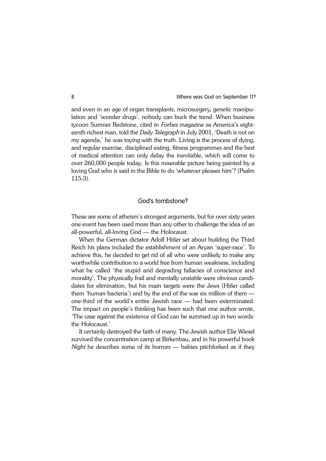and even in an age of organ transplants, microsurgery, genetic manipulation and 'wonder drugs', nobody can buck the trend. When business tycoon Sumner Redstone, cited in Forbes magazine as America's eighteenth richest man, told the Daily Telegraph in July 2001, 'Death is not on my agenda,' he was toying with the truth. Living is the process of dying, and regular exercise, disciplined eating, fitness programmes and the best of medical attention can only delay the inevitable, which will come to over 260,000 people today. Is this miserable picture being painted by a loving God who is said in the Bible to do 'whatever pleases him'? (Psalm 115:3).

#### God's tombstone?

These are some of atheism's strongest arguments, but for over sixty years one event has been used more than any other to challenge the idea of an all-powerful, all-loving God — the Holocaust.

When the German dictator Adolf Hitler set about building the Third Reich his plans included the establishment of an Aryan 'super-race'. To achieve this, he decided to get rid of all who were unlikely to make any worthwhile contribution to a world free from human weakness, including what he called 'the stupid and degrading fallacies of conscience and morality'. The physically frail and mentally unstable were obvious candidates for elimination, but his main targets were the Jews (Hitler called them 'human bacteria') and by the end of the war six million of them one-third of the world's entire Jewish race — had been exterminated. The impact on people's thinking has been such that one author wrote, 'The case against the existence of God can be summed up in two words: the Holocaust.'

It certainly destroyed the faith of many. The Jewish author Elie Wiesel survived the concentration camp at Birkenbau, and in his powerful book Night he describes some of its horrors — babies pitchforked as if they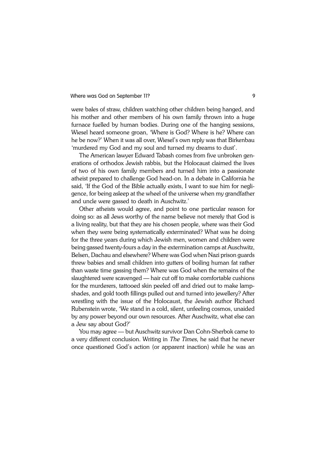were bales of straw, children watching other children being hanged, and his mother and other members of his own family thrown into a huge furnace fuelled by human bodies. During one of the hanging sessions, Wiesel heard someone groan, 'Where is God? Where is he? Where can he be now?' When it was all over, Wiesel's own reply was that Birkenbau 'murdered my God and my soul and turned my dreams to dust'.

The American lawyer Edward Tabash comes from five unbroken generations of orthodox Jewish rabbis, but the Holocaust claimed the lives of two of his own family members and turned him into a passionate atheist prepared to challenge God head-on. In a debate in California he said, 'If the God of the Bible actually exists, I want to sue him for negligence, for being asleep at the wheel of the universe when my grandfather and uncle were gassed to death in Auschwitz.'

Other atheists would agree, and point to one particular reason for doing so: as all Jews worthy of the name believe not merely that God is a living reality, but that they are his chosen people, where was their God when they were being systematically exterminated? What was he doing for the three years during which Jewish men, women and children were being gassed twenty-fours a day in the extermination camps at Auschwitz, Belsen, Dachau and elsewhere? Where was God when Nazi prison guards threw babies and small children into gutters of boiling human fat rather than waste time gassing them? Where was God when the remains of the slaughtered were scavenged — hair cut off to make comfortable cushions for the murderers, tattooed skin peeled off and dried out to make lampshades, and gold tooth fillings pulled out and turned into jewellery? After wrestling with the issue of the Holocaust, the Jewish author Richard Rubenstein wrote, 'We stand in a cold, silent, unfeeling cosmos, unaided by any power beyond our own resources. After Auschwitz, what else can a Jew say about God?'

You may agree — but Auschwitz survivor Dan Cohn-Sherbok came to a very different conclusion. Writing in The Times, he said that he never once questioned God's action (or apparent inaction) while he was an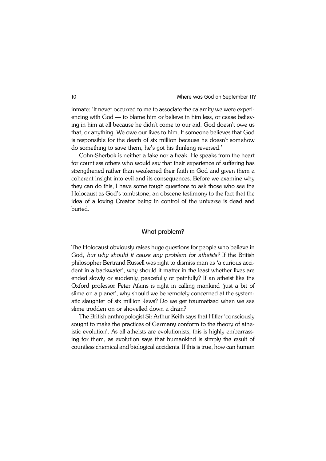inmate: 'It never occurred to me to associate the calamity we were experiencing with God — to blame him or believe in him less, or cease believing in him at all because he didn't come to our aid. God doesn't owe us that, or anything. We owe our lives to him. If someone believes that God is responsible for the death of six million because he doesn't somehow do something to save them, he's got his thinking reversed.'

Cohn-Sherbok is neither a fake nor a freak. He speaks from the heart for countless others who would say that their experience of suffering has strengthened rather than weakened their faith in God and given them a coherent insight into evil and its consequences. Before we examine why they can do this, I have some tough questions to ask those who see the Holocaust as God's tombstone, an obscene testimony to the fact that the idea of a loving Creator being in control of the universe is dead and buried.

#### What problem?

The Holocaust obviously raises huge questions for people who believe in God, but why should it cause any problem for atheists? If the British philosopher Bertrand Russell was right to dismiss man as 'a curious accident in a backwater', why should it matter in the least whether lives are ended slowly or suddenly, peacefully or painfully? If an atheist like the Oxford professor Peter Atkins is right in calling mankind 'just a bit of slime on a planet', why should we be remotely concerned at the systematic slaughter of six million Jews? Do we get traumatized when we see slime trodden on or shovelled down a drain?

The British anthropologist Sir Arthur Keith says that Hitler 'consciously sought to make the practices of Germany conform to the theory of atheistic evolution'. As all atheists are evolutionists, this is highly embarrassing for them, as evolution says that humankind is simply the result of countless chemical and biological accidents. If this is true, how can human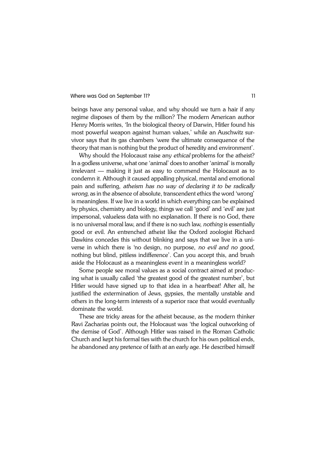beings have any personal value, and why should we turn a hair if any regime disposes of them by the million? The modern American author Henry Morris writes, 'In the biological theory of Darwin, Hitler found his most powerful weapon against human values,' while an Auschwitz survivor says that its gas chambers 'were the ultimate consequence of the theory that man is nothing but the product of heredity and environment'.

Why should the Holocaust raise any ethical problems for the atheist? In a godless universe, what one 'animal' does to another 'animal' is morally irrelevant — making it just as easy to commend the Holocaust as to condemn it. Although it caused appalling physical, mental and emotional pain and suffering, atheism has no way of declaring it to be radically wrong, as in the absence of absolute, transcendent ethics the word 'wrong' is meaningless. If we live in a world in which everything can be explained by physics, chemistry and biology, things we call 'good' and 'evil' are just impersonal, valueless data with no explanation. If there is no God, there is no universal moral law, and if there is no such law, nothing is essentially good or evil. An entrenched atheist like the Oxford zoologist Richard Dawkins concedes this without blinking and says that we live in a universe in which there is 'no design, no purpose, no evil and no good, nothing but blind, pitiless indifference'. Can you accept this, and brush aside the Holocaust as a meaningless event in a meaningless world?

Some people see moral values as a social contract aimed at producing what is usually called 'the greatest good of the greatest number', but Hitler would have signed up to that idea in a heartbeat! After all, he justified the extermination of Jews, gypsies, the mentally unstable and others in the long-term interests of a superior race that would eventually dominate the world.

These are tricky areas for the atheist because, as the modern thinker Ravi Zacharias points out, the Holocaust was 'the logical outworking of the demise of God'. Although Hitler was raised in the Roman Catholic Church and kept his formal ties with the church for his own political ends, he abandoned any pretence of faith at an early age. He described himself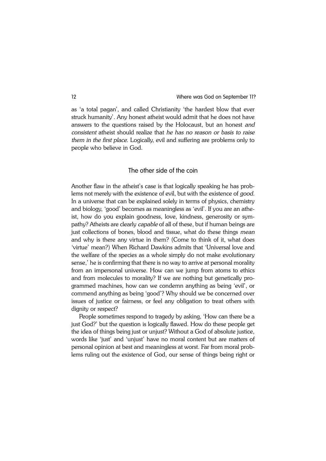as 'a total pagan', and called Christianity 'the hardest blow that ever struck humanity'. Any honest atheist would admit that he does not have answers to the questions raised by the Holocaust, but an honest and consistent atheist should realize that he has no reason or basis to raise them in the first place. Logically, evil and suffering are problems only to people who believe in God.

## The other side of the coin

Another flaw in the atheist's case is that logically speaking he has problems not merely with the existence of evil, but with the existence of good. In a universe that can be explained solely in terms of physics, chemistry and biology, 'good' becomes as meaningless as 'evil'. If you are an atheist, how do you explain goodness, love, kindness, generosity or sympathy? Atheists are clearly capable of all of these, but if human beings are just collections of bones, blood and tissue, what do these things mean and why is there any virtue in them? (Come to think of it, what does 'virtue' mean?) When Richard Dawkins admits that 'Universal love and the welfare of the species as a whole simply do not make evolutionary sense,' he is confirming that there is no way to arrive at personal morality from an impersonal universe. How can we jump from atoms to ethics and from molecules to morality? If we are nothing but genetically programmed machines, how can we condemn anything as being 'evil', or commend anything as being 'good'? Why should we be concerned over issues of justice or fairness, or feel any obligation to treat others with dignity or respect?

People sometimes respond to tragedy by asking, 'How can there be a just God?' but the question is logically flawed. How do these people get the idea of things being just or unjust? Without a God of absolute justice, words like 'just' and 'unjust' have no moral content but are matters of personal opinion at best and meaningless at worst. Far from moral problems ruling out the existence of God, our sense of things being right or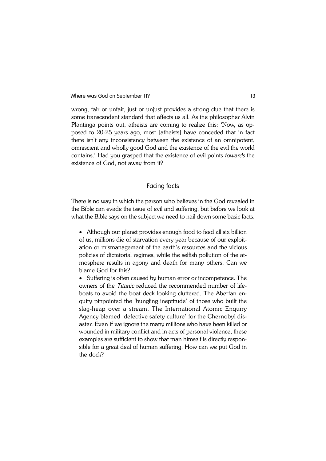wrong, fair or unfair, just or unjust provides a strong clue that there is some transcendent standard that affects us all. As the philosopher Alvin Plantinga points out, atheists are coming to realize this: 'Now, as opposed to 20-25 years ago, most [atheists] have conceded that in fact there isn't any inconsistency between the existence of an omnipotent, omniscient and wholly good God and the existence of the evil the world contains.' Had you grasped that the existence of evil points towards the existence of God, not away from it?

#### Facing facts

There is no way in which the person who believes in the God revealed in the Bible can evade the issue of evil and suffering, but before we look at what the Bible says on the subject we need to nail down some basic facts.

 Although our planet provides enough food to feed all six billion of us, millions die of starvation every year because of our exploitation or mismanagement of the earth's resources and the vicious policies of dictatorial regimes, while the selfish pollution of the atmosphere results in agony and death for many others. Can we blame God for this?

• Suffering is often caused by human error or incompetence. The owners of the Titanic reduced the recommended number of lifeboats to avoid the boat deck looking cluttered. The Aberfan enquiry pinpointed the 'bungling ineptitude' of those who built the slag-heap over a stream. The International Atomic Enquiry Agency blamed 'defective safety culture' for the Chernobyl disaster. Even if we ignore the many millions who have been killed or wounded in military conflict and in acts of personal violence, these examples are sufficient to show that man himself is directly responsible for a great deal of human suffering. How can we put God in the dock?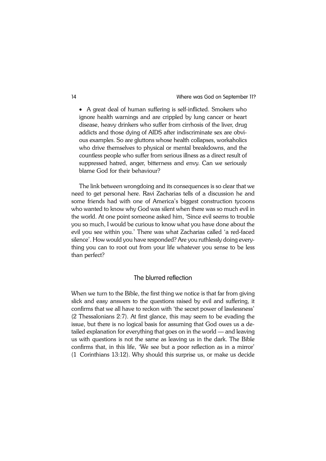A great deal of human suffering is self-inflicted. Smokers who ignore health warnings and are crippled by lung cancer or heart disease, heavy drinkers who suffer from cirrhosis of the liver, drug addicts and those dying of AIDS after indiscriminate sex are obvious examples. So are gluttons whose health collapses, workaholics who drive themselves to physical or mental breakdowns, and the countless people who suffer from serious illness as a direct result of suppressed hatred, anger, bitterness and envy. Can we seriously blame God for their behaviour?

The link between wrongdoing and its consequences is so clear that we need to get personal here. Ravi Zacharias tells of a discussion he and some friends had with one of America's biggest construction tycoons who wanted to know why God was silent when there was so much evil in the world. At one point someone asked him, 'Since evil seems to trouble you so much, I would be curious to know what you have done about the evil you see within you.' There was what Zacharias called 'a red-faced silence'. How would you have responded? Are you ruthlessly doing everything you can to root out from your life whatever you sense to be less than perfect?

## The blurred reflection

When we turn to the Bible, the first thing we notice is that far from giving slick and easy answers to the questions raised by evil and suffering, it confirms that we all have to reckon with 'the secret power of lawlessness' (2 Thessalonians 2:7). At first glance, this may seem to be evading the issue, but there is no logical basis for assuming that God owes us a detailed explanation for everything that goes on in the world — and leaving us with questions is not the same as leaving us in the dark. The Bible confirms that, in this life, 'We see but a poor reflection as in a mirror' (1 Corinthians 13:12). Why should this surprise us, or make us decide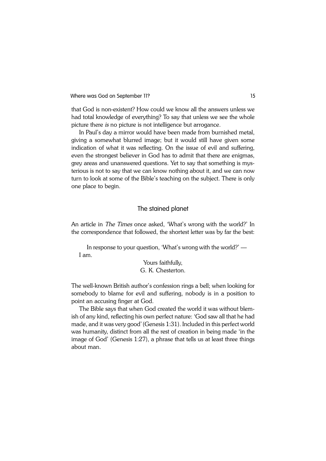that God is non-existent? How could we know all the answers unless we had total knowledge of everything? To say that unless we see the whole picture there is no picture is not intelligence but arrogance.

In Paul's day a mirror would have been made from burnished metal, giving a somewhat blurred image; but it would still have given some indication of what it was reflecting. On the issue of evil and suffering, even the strongest believer in God has to admit that there are enigmas, grey areas and unanswered questions. Yet to say that something is mysterious is not to say that we can know nothing about it, and we can now turn to look at some of the Bible's teaching on the subject. There is only one place to begin.

### The stained planet

An article in The Times once asked, 'What's wrong with the world?' In the correspondence that followed, the shortest letter was by far the best:

In response to your question, 'What's wrong with the world?' — I am.

> Yours faithfully, G. K. Chesterton.

The well-known British author's confession rings a bell; when looking for somebody to blame for evil and suffering, nobody is in a position to point an accusing finger at God.

The Bible says that when God created the world it was without blemish of any kind, reflecting his own perfect nature: 'God saw all that he had made, and it was very good'(Genesis 1:31). Included in this perfect world was humanity, distinct from all the rest of creation in being made 'in the image of God' (Genesis 1:27), a phrase that tells us at least three things about man.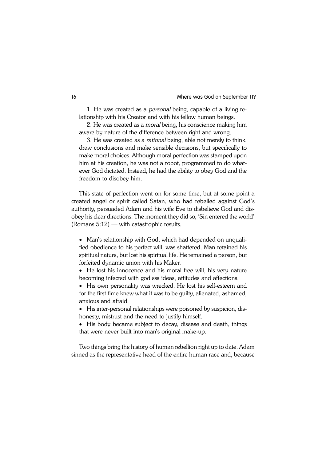1. He was created as a personal being, capable of a living relationship with his Creator and with his fellow human beings.

2. He was created as a moral being, his conscience making him aware by nature of the difference between right and wrong.

3. He was created as a rational being, able not merely to think, draw conclusions and make sensible decisions, but specifically to make moral choices. Although moral perfection was stamped upon him at his creation, he was not a robot, programmed to do whatever God dictated. Instead, he had the ability to obey God and the freedom to disobey him.

This state of perfection went on for some time, but at some point a created angel or spirit called Satan, who had rebelled against God's authority, persuaded Adam and his wife Eve to disbelieve God and disobey his clear directions. The moment they did so, 'Sin entered the world' (Romans 5:12) — with catastrophic results.

 Man's relationship with God, which had depended on unqualified obedience to his perfect will, was shattered. Man retained his spiritual nature, but lost his spiritual life. He remained a person, but forfeited dynamic union with his Maker.

• He lost his innocence and his moral free will, his very nature becoming infected with godless ideas, attitudes and affections.

• His own personality was wrecked. He lost his self-esteem and for the first time knew what it was to be guilty, alienated, ashamed, anxious and afraid.

 His inter-personal relationships were poisoned by suspicion, dishonesty, mistrust and the need to justify himself.

• His body became subject to decay, disease and death, things that were never built into man's original make-up.

Two things bring the history of human rebellion right up to date. Adam sinned as the representative head of the entire human race and, because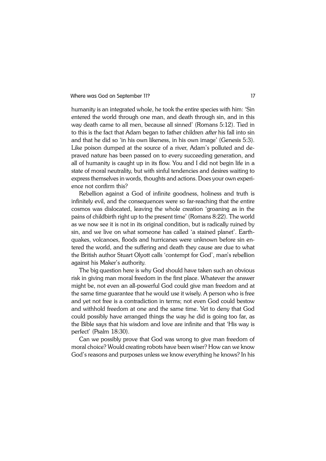humanity is an integrated whole, he took the entire species with him: 'Sin entered the world through one man, and death through sin, and in this way death came to all men, because all sinned' (Romans 5:12). Tied in to this is the fact that Adam began to father children after his fall into sin and that he did so 'in his own likeness, in his own image' (Genesis 5:3). Like poison dumped at the source of a river, Adam's polluted and depraved nature has been passed on to every succeeding generation, and all of humanity is caught up in its flow. You and I did not begin life in a state of moral neutrality, but with sinful tendencies and desires waiting to express themselves in words, thoughts and actions. Does your own experience not confirm this?

Rebellion against a God of infinite goodness, holiness and truth is infinitely evil, and the consequences were so far-reaching that the entire cosmos was dislocated, leaving the whole creation 'groaning as in the pains of childbirth right up to the present time' (Romans 8:22). The world as we now see it is not in its original condition, but is radically ruined by sin, and we live on what someone has called 'a stained planet'. Earthquakes, volcanoes, floods and hurricanes were unknown before sin entered the world, and the suffering and death they cause are due to what the British author Stuart Olyott calls 'contempt for God', man's rebellion against his Maker's authority.

The big question here is why God should have taken such an obvious risk in giving man moral freedom in the first place. Whatever the answer might be, not even an all-powerful God could give man freedom and at the same time guarantee that he would use it wisely. A person who is free and yet not free is a contradiction in terms; not even God could bestow and withhold freedom at one and the same time. Yet to deny that God could possibly have arranged things the way he did is going too far, as the Bible says that his wisdom and love are infinite and that 'His way is perfect' (Psalm 18:30).

Can we possibly prove that God was wrong to give man freedom of moral choice? Would creating robots have been wiser? How can we know God's reasons and purposes unless we know everything he knows? In his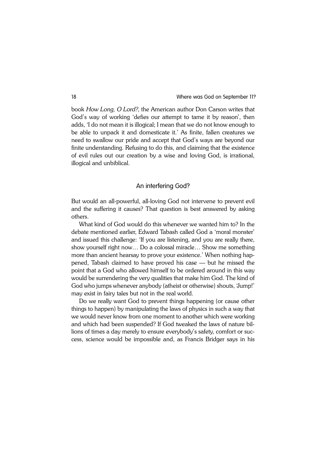book How Long, O Lord?, the American author Don Carson writes that God's way of working 'defies our attempt to tame it by reason', then adds, 'I do not mean it is illogical; I mean that we do not know enough to be able to unpack it and domesticate it.' As finite, fallen creatures we need to swallow our pride and accept that God's ways are beyond our finite understanding. Refusing to do this, and claiming that the existence of evil rules out our creation by a wise and loving God, is irrational, illogical and unbiblical.

#### An interfering God?

But would an all-powerful, all-loving God not intervene to prevent evil and the suffering it causes? That question is best answered by asking others.

What kind of God would do this whenever we wanted him to? In the debate mentioned earlier, Edward Tabash called God a 'moral monster' and issued this challenge: 'If you are listening, and you are really there, show yourself right now… Do a colossal miracle… Show me something more than ancient hearsay to prove your existence.' When nothing happened, Tabash claimed to have proved his case — but he missed the point that a God who allowed himself to be ordered around in this way would be surrendering the very qualities that make him God. The kind of God who jumps whenever anybody (atheist or otherwise) shouts, 'Jump!' may exist in fairy tales but not in the real world.

Do we really want God to prevent things happening (or cause other things to happen) by manipulating the laws of physics in such a way that we would never know from one moment to another which were working and which had been suspended? If God tweaked the laws of nature billions of times a day merely to ensure everybody's safety, comfort or success, science would be impossible and, as Francis Bridger says in his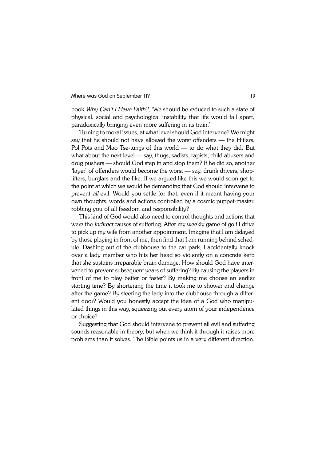book Why Can't I Have Faith?, 'We should be reduced to such a state of physical, social and psychological instability that life would fall apart, paradoxically bringing even more suffering in its train.'

Turning to moral issues, at what level should God intervene? We might say that he should not have allowed the worst offenders — the Hitlers, Pol Pots and Mao Tse-tungs of this world — to do what they did. But what about the next level — say, thugs, sadists, rapists, child abusers and drug pushers — should God step in and stop them? If he did so, another 'layer' of offenders would become the worst — say, drunk drivers, shoplifters, burglars and the like. If we argued like this we would soon get to the point at which we would be demanding that God should intervene to prevent all evil. Would you settle for that, even if it meant having your own thoughts, words and actions controlled by a cosmic puppet-master, robbing you of all freedom and responsibility?

This kind of God would also need to control thoughts and actions that were the indirect causes of suffering. After my weekly game of golf I drive to pick up my wife from another appointment. Imagine that I am delayed by those playing in front of me, then find that I am running behind schedule. Dashing out of the clubhouse to the car park, I accidentally knock over a lady member who hits her head so violently on a concrete kerb that she sustains irreparable brain damage. How should God have intervened to prevent subsequent years of suffering? By causing the players in front of me to play better or faster? By making me choose an earlier starting time? By shortening the time it took me to shower and change after the game? By steering the lady into the clubhouse through a different door? Would you honestly accept the idea of a God who manipulated things in this way, squeezing out every atom of your independence or choice?

Suggesting that God should intervene to prevent all evil and suffering sounds reasonable in theory, but when we think it through it raises more problems than it solves. The Bible points us in a very different direction.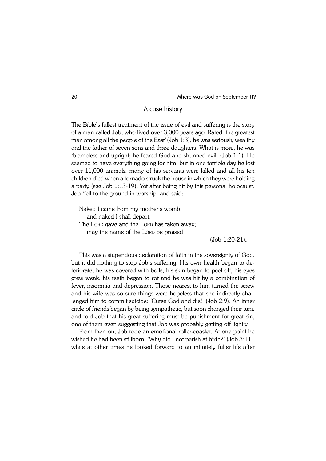#### A case history

The Bible's fullest treatment of the issue of evil and suffering is the story of a man called Job, who lived over 3,000 years ago. Rated 'the greatest man among all the people of the East'(Job 1:3), he was seriously wealthy and the father of seven sons and three daughters. What is more, he was 'blameless and upright; he feared God and shunned evil' (Job 1:1). He seemed to have everything going for him, but in one terrible day he lost over 11,000 animals, many of his servants were killed and all his ten children died when a tornado struck the house in which they were holding a party (see Job 1:13-19). Yet after being hit by this personal holocaust, Job 'fell to the ground in worship' and said:

Naked I came from my mother's womb, and naked I shall depart. The LORD gave and the LORD has taken away; may the name of the LORD be praised

(Job 1:20-21).

This was a stupendous declaration of faith in the sovereignty of God, but it did nothing to stop Job's suffering. His own health began to deteriorate; he was covered with boils, his skin began to peel off, his eyes grew weak, his teeth began to rot and he was hit by a combination of fever, insomnia and depression. Those nearest to him turned the screw and his wife was so sure things were hopeless that she indirectly challenged him to commit suicide: 'Curse God and die!' (Job 2:9). An inner circle of friends began by being sympathetic, but soon changed their tune and told Job that his great suffering must be punishment for great sin, one of them even suggesting that Job was probably getting off lightly.

From then on, Job rode an emotional roller-coaster. At one point he wished he had been stillborn: 'Why did I not perish at birth?' (Job 3:11), while at other times he looked forward to an infinitely fuller life after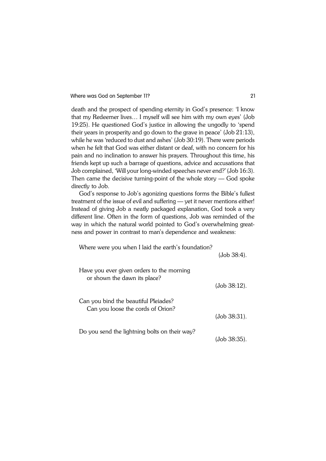death and the prospect of spending eternity in God's presence: 'I know that my Redeemer lives… I myself will see him with my own eyes' (Job 19:25). He questioned God's justice in allowing the ungodly to 'spend their years in prosperity and go down to the grave in peace' (Job 21:13), while he was 'reduced to dust and ashes' (Job 30:19). There were periods when he felt that God was either distant or deaf, with no concern for his pain and no inclination to answer his prayers. Throughout this time, his friends kept up such a barrage of questions, advice and accusations that Job complained, 'Will your long-winded speeches never end?'(Job 16:3). Then came the decisive turning-point of the whole story — God spoke directly to Job.

God's response to Job's agonizing questions forms the Bible's fullest treatment of the issue of evil and suffering — yet it never mentions either! Instead of giving Job a neatly packaged explanation, God took a very different line. Often in the form of questions, Job was reminded of the way in which the natural world pointed to God's overwhelming greatness and power in contrast to man's dependence and weakness:

Where were you when I laid the earth's foundation?

| Have you ever given orders to the morning<br>or shown the dawn its place? | (Job 38:12). |
|---------------------------------------------------------------------------|--------------|
| Can you bind the beautiful Pleiades?<br>Can you loose the cords of Orion? | (Job 38:31). |
| Do you send the lightning bolts on their way?                             | (Job 38:35). |

(Job 38:4).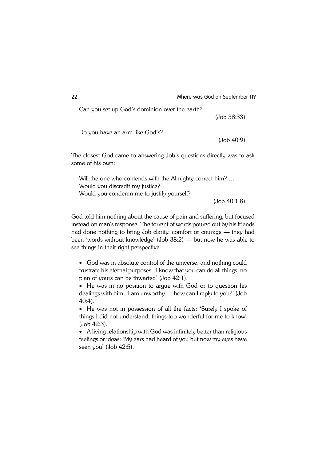Can you set up God's dominion over the earth?

(Job 38:33).

Do you have an arm like God's?

(Job 40:9).

The closest God came to answering Job's questions directly was to ask some of his own:

Will the one who contends with the Almighty correct him? … Would you discredit my justice? Would you condemn me to justify yourself?

(Job 40:1,8).

God told him nothing about the cause of pain and suffering, but focused instead on man's response. The torrent of words poured out by his friends had done nothing to bring Job clarity, comfort or courage — they had been 'words without knowledge' (Job 38:2) — but now he was able to see things in their right perspective

 God was in absolute control of the universe, and nothing could frustrate his eternal purposes: 'I know that you can do all things; no plan of yours can be thwarted' (Job 42:1).

• He was in no position to argue with God or to question his dealings with him: 'I am unworthy — how can I reply to you?' (Job 40:4).

• He was not in possession of all the facts: 'Surely I spoke of things I did not understand, things too wonderful for me to know' (Job 42:3).

 $\bullet$  A living relationship with God was infinitely better than religious feelings or ideas: 'My ears had heard of you but now my eyes have seen you' (Job 42:5).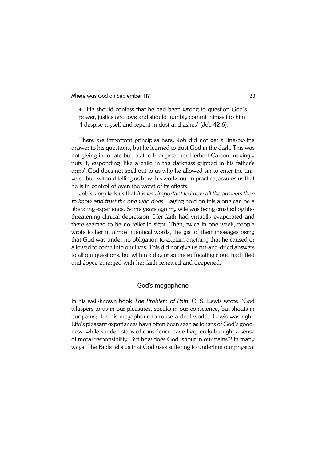He should confess that he had been wrong to question God's power, justice and love and should humbly commit himself to him: 'I despise myself and repent in dust and ashes' (Job 42:6).

There are important principles here. Job did not get a line-by-line answer to his questions, but he learned to trust God in the dark. This was not giving in to fate but, as the Irish preacher Herbert Carson movingly puts it, responding 'like a child in the darkness gripped in his father's arms'.God does not spell out to us why he allowed sin to enter the universe but, without telling us how this works out in practice, assures us that he is in control of even the worst of its effects.

Job's story tells us that it is less important to know all the answers than to know and trust the one who does. Laying hold on this alone can be a liberating experience. Some years ago my wife was being crushed by lifethreatening clinical depression. Her faith had virtually evaporated and there seemed to be no relief in sight. Then, twice in one week, people wrote to her in almost identical words, the gist of their messages being that God was under no obligation to explain anything that he caused or allowed to come into our lives. This did not give us cut-and-dried answers to all our questions, but within a day or so the suffocating cloud had lifted and Joyce emerged with her faith renewed and deepened.

#### God's megaphone

In his well-known book The Problem of Pain, C. S. Lewis wrote, 'God whispers to us in our pleasures, speaks in our conscience, but shouts in our pains; it is his megaphone to rouse a deaf world.' Lewis was right. Life's pleasant experiences have often been seen as tokens of God's goodness, while sudden stabs of conscience have frequently brought a sense of moral responsibility. But how does God 'shout in our pains'? In many ways. The Bible tells us that God uses suffering to underline our physical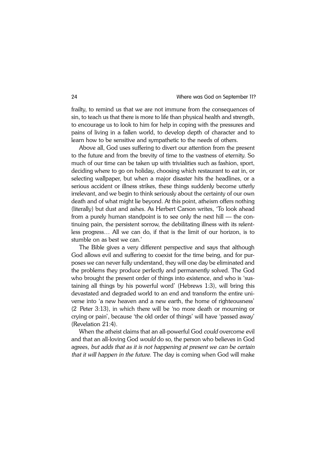frailty, to remind us that we are not immune from the consequences of sin, to teach us that there is more to life than physical health and strength, to encourage us to look to him for help in coping with the pressures and pains of living in a fallen world, to develop depth of character and to learn how to be sensitive and sympathetic to the needs of others.

Above all, God uses suffering to divert our attention from the present to the future and from the brevity of time to the vastness of eternity. So much of our time can be taken up with trivialities such as fashion, sport, deciding where to go on holiday, choosing which restaurant to eat in, or selecting wallpaper, but when a major disaster hits the headlines, or a serious accident or illness strikes, these things suddenly become utterly irrelevant, and we begin to think seriously about the certainty of our own death and of what might lie beyond. At this point, atheism offers nothing (literally) but dust and ashes. As Herbert Carson writes, 'To look ahead from a purely human standpoint is to see only the next hill — the continuing pain, the persistent sorrow, the debilitating illness with its relentless progress… All we can do, if that is the limit of our horizon, is to stumble on as best we can.'

The Bible gives a very different perspective and says that although God allows evil and suffering to coexist for the time being, and for purposes we can never fully understand, they will one day be eliminated and the problems they produce perfectly and permanently solved. The God who brought the present order of things into existence, and who is 'sustaining all things by his powerful word' (Hebrews 1:3), will bring this devastated and degraded world to an end and transform the entire universe into 'a new heaven and a new earth, the home of righteousness' (2 Peter 3:13), in which there will be 'no more death or mourning or crying or pain', because 'the old order of things' will have 'passed away' (Revelation 21:4).

When the atheist claims that an all-powerful God could overcome evil and that an all-loving God would do so, the person who believes in God agrees, but adds that as it is not happening at present we can be certain that it will happen in the future. The day is coming when God will make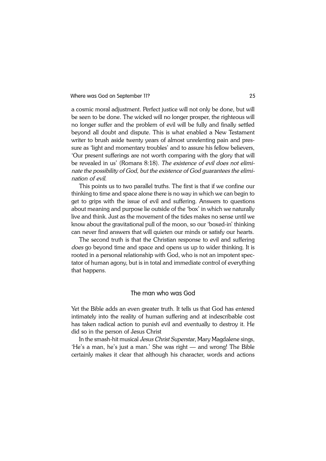a cosmic moral adjustment. Perfect justice will not only be done, but will be seen to be done. The wicked will no longer prosper, the righteous will no longer suffer and the problem of evil will be fully and finally settled beyond all doubt and dispute. This is what enabled a New Testament writer to brush aside twenty years of almost unrelenting pain and pressure as 'light and momentary troubles' and to assure his fellow believers, 'Our present sufferings are not worth comparing with the glory that will be revealed in us' (Romans 8:18). The existence of evil does not eliminate the possibility of God, but the existence of God guarantees the elimination of evil.

 This points us to two parallel truths. The first is that if we confine our thinking to time and space alone there is no way in which we can begin to get to grips with the issue of evil and suffering. Answers to questions about meaning and purpose lie outside of the 'box' in which we naturally live and think. Just as the movement of the tides makes no sense until we know about the gravitational pull of the moon, so our 'boxed-in' thinking can never find answers that will quieten our minds or satisfy our hearts.

 The second truth is that the Christian response to evil and suffering does go beyond time and space and opens us up to wider thinking. It is rooted in a personal relationship with God, who is not an impotent spectator of human agony, but is in total and immediate control of everything that happens.

#### The man who was God

Yet the Bible adds an even greater truth. It tells us that God has entered intimately into the reality of human suffering and at indescribable cost has taken radical action to punish evil and eventually to destroy it. He did so in the person of Jesus Christ

In the smash-hit musical Jesus Christ Superstar, Mary Magdalene sings, 'He's a man, he's just a man.' She was right — and wrong! The Bible certainly makes it clear that although his character, words and actions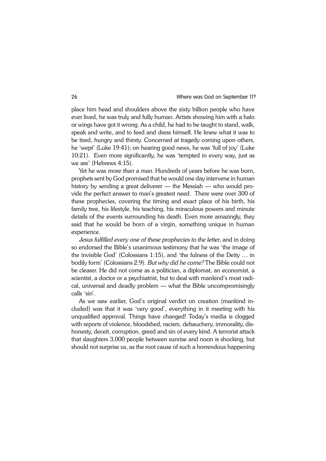place him head and shoulders above the sixty billion people who have ever lived, he was truly and fully human. Artists showing him with a halo or wings have got it wrong. As a child, he had to be taught to stand, walk, speak and write, and to feed and dress himself. He knew what it was to be tired, hungry and thirsty. Concerned at tragedy coming upon others, he 'wept' (Luke 19:41); on hearing good news, he was 'full of joy' (Luke 10:21). Even more significantly, he was 'tempted in every way, just as we are' (Hebrews 4:15).

Yet he was *more than a man*. Hundreds of years before he was born, prophets sent by God promised that he would one day intervene in human history by sending a great deliverer — the Messiah — who would provide the perfect answer to man's greatest need. There were over 300 of these prophecies, covering the timing and exact place of his birth, his family tree, his lifestyle, his teaching, his miraculous powers and minute details of the events surrounding his death. Even more amazingly, they said that he would be born of a virgin, something unique in human experience.

Jesus fulfilled every one of these prophecies to the letter, and in doing so endorsed the Bible's unanimous testimony that he was 'the image of the invisible God' (Colossians 1:15), and 'the fulness of the Deity … in bodily form' (Colossians 2:9). But why did he come? The Bible could not be clearer. He did not come as a politician, a diplomat, an economist, a scientist, a doctor or a psychiatrist, but to deal with mankind's most radical, universal and deadly problem — what the Bible uncompromisingly calls 'sin'.

As we saw earlier, God's original verdict on creation (mankind included) was that it was 'very good', everything in it meeting with his unqualified approval. Things have changed! Today's media is clogged with reports of violence, bloodshed, racism, debauchery, immorality, dishonesty, deceit, corruption, greed and sin of every kind. A terrorist attack that slaughters 3,000 people between sunrise and noon is shocking, but should not surprise us, as the root cause of such a horrendous happening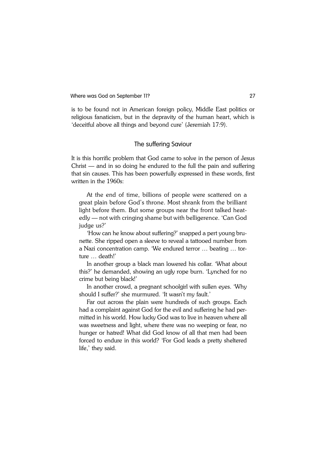is to be found not in American foreign policy, Middle East politics or religious fanaticism, but in the depravity of the human heart, which is 'deceitful above all things and beyond cure' (Jeremiah 17:9).

#### The suffering Saviour

It is this horrific problem that God came to solve in the person of Jesus Christ — and in so doing he endured to the full the pain and suffering that sin causes. This has been powerfully expressed in these words, first written in the 1960s:

At the end of time, billions of people were scattered on a great plain before God's throne. Most shrank from the brilliant light before them. But some groups near the front talked heatedly — not with cringing shame but with belligerence. 'Can God judge us?'

'How can he know about suffering?' snapped a pert young brunette. She ripped open a sleeve to reveal a tattooed number from a Nazi concentration camp. 'We endured terror … beating … torture … death!'

In another group a black man lowered his collar. 'What about this?' he demanded, showing an ugly rope burn. 'Lynched for no crime but being black!'

In another crowd, a pregnant schoolgirl with sullen eyes. 'Why should I suffer?' she murmured. 'It wasn't my fault.'

Far out across the plain were hundreds of such groups. Each had a complaint against God for the evil and suffering he had permitted in his world. How lucky God was to live in heaven where all was sweetness and light, where there was no weeping or fear, no hunger or hatred! What did God know of all that men had been forced to endure in this world? 'For God leads a pretty sheltered life,' they said.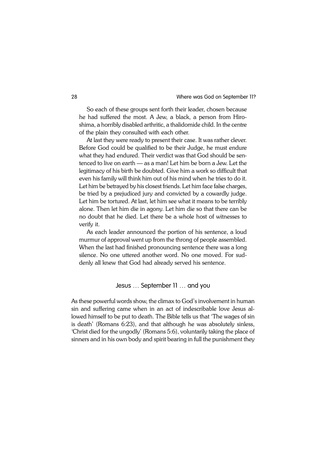So each of these groups sent forth their leader, chosen because he had suffered the most. A Jew, a black, a person from Hiroshima, a horribly disabled arthritic, a thalidomide child. In the centre of the plain they consulted with each other.

At last they were ready to present their case. It was rather clever. Before God could be qualified to be their Judge, he must endure what they had endured. Their verdict was that God should be sentenced to live on earth — as a man! Let him be born a Jew. Let the legitimacy of his birth be doubted. Give him a work so difficult that even his family will think him out of his mind when he tries to do it. Let him be betrayed by his closest friends. Let him face false charges, be tried by a prejudiced jury and convicted by a cowardly judge. Let him be tortured. At last, let him see what it means to be terribly alone. Then let him die in agony. Let him die so that there can be no doubt that he died. Let there be a whole host of witnesses to verify it.

As each leader announced the portion of his sentence, a loud murmur of approval went up from the throng of people assembled. When the last had finished pronouncing sentence there was a long silence. No one uttered another word. No one moved. For suddenly all knew that God had already served his sentence.

#### Jesus … September 11 … and you

As these powerful words show, the climax to God's involvement in human sin and suffering came when in an act of indescribable love Jesus allowed himself to be put to death. The Bible tells us that 'The wages of sin is death' (Romans 6:23), and that although he was absolutely sinless, 'Christ died for the ungodly' (Romans 5:6), voluntarily taking the place of sinners and in his own body and spirit bearing in full the punishment they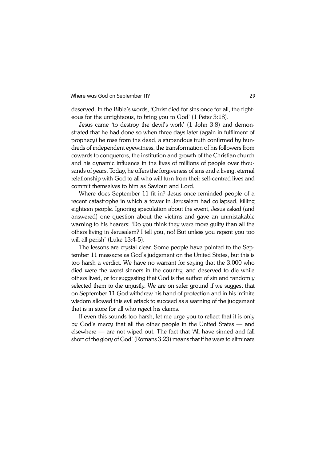deserved. In the Bible's words, 'Christ died for sins once for all, the righteous for the unrighteous, to bring you to God' (1 Peter 3:18).

Jesus came 'to destroy the devil's work' (1 John 3:8) and demonstrated that he had done so when three days later (again in fulfilment of prophecy) he rose from the dead, a stupendous truth confirmed by hundreds of independent eyewitness, the transformation of his followers from cowards to conquerors, the institution and growth of the Christian church and his dynamic influence in the lives of millions of people over thousands of years. Today, he offers the forgiveness of sins and a living, eternal relationship with God to all who will turn from their self-centred lives and commit themselves to him as Saviour and Lord.

Where does September 11 fit in? Jesus once reminded people of a recent catastrophe in which a tower in Jerusalem had collapsed, killing eighteen people. Ignoring speculation about the event, Jesus asked (and answered) one question about the victims and gave an unmistakable warning to his hearers: 'Do you think they were more guilty than all the others living in Jerusalem? I tell you, no! But unless you repent you too will all perish' (Luke 13:4-5).

The lessons are crystal clear. Some people have pointed to the September 11 massacre as God's judgement on the United States, but this is too harsh a verdict. We have no warrant for saying that the 3,000 who died were the worst sinners in the country, and deserved to die while others lived, or for suggesting that God is the author of sin and randomly selected them to die unjustly. We are on safer ground if we suggest that on September 11 God withdrew his hand of protection and in his infinite wisdom allowed this evil attack to succeed as a warning of the judgement that is in store for all who reject his claims.

If even this sounds too harsh, let me urge you to reflect that it is only by God's mercy that all the other people in the United States — and elsewhere — are not wiped out. The fact that 'All have sinned and fall short of the glory of God' (Romans 3:23) means that if he were to eliminate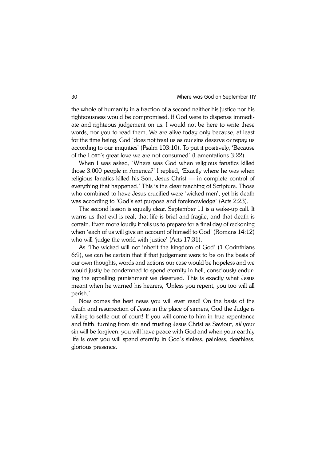the whole of humanity in a fraction of a second neither his justice nor his righteousness would be compromised. If God were to dispense immediate and righteous judgement on us, I would not be here to write these words, nor you to read them. We are alive today only because, at least for the time being, God 'does not treat us as our sins deserve or repay us according to our iniquities' (Psalm 103:10). To put it positively, 'Because of the LORD's great love we are not consumed' (Lamentations 3:22).

When I was asked, 'Where was God when religious fanatics killed those 3,000 people in America?' I replied, 'Exactly where he was when religious fanatics killed his Son, Jesus Christ — in complete control of everything that happened.' This is the clear teaching of Scripture. Those who combined to have Jesus crucified were 'wicked men', yet his death was according to 'God's set purpose and foreknowledge' (Acts 2:23).

The second lesson is equally clear. September 11 is a wake-up call. It warns us that evil is real, that life is brief and fragile, and that death is certain. Even more loudly it tells us to prepare for a final day of reckoning when 'each of us will give an account of himself to God' (Romans 14:12) who will 'judge the world with justice' (Acts 17:31).

As 'The wicked will not inherit the kingdom of God' (1 Corinthians 6:9), we can be certain that if that judgement were to be on the basis of our own thoughts, words and actions our case would be hopeless and we would justly be condemned to spend eternity in hell, consciously enduring the appalling punishment we deserved. This is exactly what Jesus meant when he warned his hearers, 'Unless you repent, you too will all perish.'

Now comes the best news you will ever read! On the basis of the death and resurrection of Jesus in the place of sinners, God the Judge is willing to settle out of court! If you will come to him in true repentance and faith, turning from sin and trusting Jesus Christ as Saviour, all your sin will be forgiven, you will have peace with God and when your earthly life is over you will spend eternity in God's sinless, painless, deathless, glorious presence.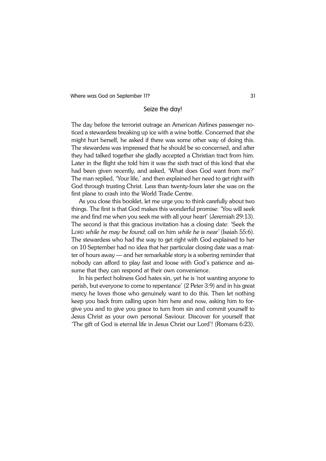#### Seize the day!

The day before the terrorist outrage an American Airlines passenger noticed a stewardess breaking up ice with a wine bottle. Concerned that she might hurt herself, he asked if there was some other way of doing this. The stewardess was impressed that he should be so concerned, and after they had talked together she gladly accepted a Christian tract from him. Later in the flight she told him it was the sixth tract of this kind that she had been given recently, and asked, 'What does God want from me?' The man replied, 'Your life,' and then explained her need to get right with God through trusting Christ. Less than twenty-fours later she was on the first plane to crash into the World Trade Centre.

As you close this booklet, let me urge you to think carefully about two things. The first is that God makes this wonderful promise: 'You will seek me and find me when you seek me with all your heart' (Jeremiah 29:13). The second is that this gracious invitation has a closing date: 'Seek the LORD while he may be found; call on him while he is near' (Isaiah 55:6). The stewardess who had the way to get right with God explained to her on 10 September had no idea that her particular closing date was a matter of hours away — and her remarkable story is a sobering reminder that nobody can afford to play fast and loose with God's patience and assume that they can respond at their own convenience.

In his perfect holiness God hates sin, yet he is 'not wanting anyone to perish, but everyone to come to repentance' (2 Peter 3:9) and in his great mercy he loves those who genuinely want to do this. Then let nothing keep you back from calling upon him here and now, asking him to forgive you and to give you grace to turn from sin and commit yourself to Jesus Christ as your own personal Saviour. Discover for yourself that 'The gift of God is eternal life in Jesus Christ our Lord'! (Romans 6:23).